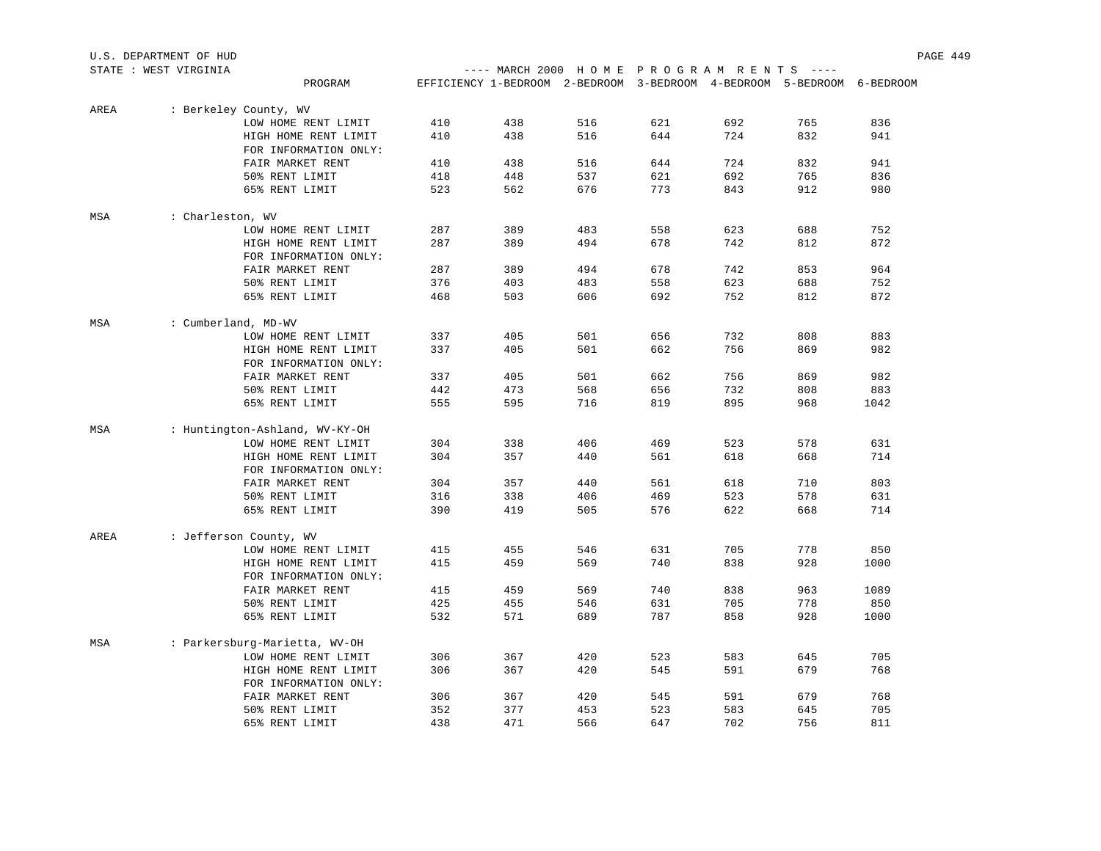| U.S. DEPARTMENT OF HUD |                       |                                |     |                                                                        |     |     |     |     | PAGE 449 |  |
|------------------------|-----------------------|--------------------------------|-----|------------------------------------------------------------------------|-----|-----|-----|-----|----------|--|
|                        | STATE : WEST VIRGINIA |                                |     | ---- MARCH 2000 HOME PROGRAM RENTS ----                                |     |     |     |     |          |  |
|                        |                       | PROGRAM                        |     | EFFICIENCY 1-BEDROOM 2-BEDROOM 3-BEDROOM 4-BEDROOM 5-BEDROOM 6-BEDROOM |     |     |     |     |          |  |
| AREA                   |                       | : Berkeley County, WV          |     |                                                                        |     |     |     |     |          |  |
|                        |                       | LOW HOME RENT LIMIT            | 410 | 438                                                                    | 516 | 621 | 692 | 765 | 836      |  |
|                        |                       | HIGH HOME RENT LIMIT           | 410 | 438                                                                    | 516 | 644 | 724 | 832 | 941      |  |
|                        |                       | FOR INFORMATION ONLY:          |     |                                                                        |     |     |     |     |          |  |
|                        |                       | FAIR MARKET RENT               | 410 | 438                                                                    | 516 | 644 | 724 | 832 | 941      |  |
|                        |                       | 50% RENT LIMIT                 | 418 | 448                                                                    | 537 | 621 | 692 | 765 | 836      |  |
|                        |                       | 65% RENT LIMIT                 | 523 | 562                                                                    | 676 | 773 | 843 | 912 | 980      |  |
| MSA                    | : Charleston, WV      |                                |     |                                                                        |     |     |     |     |          |  |
|                        |                       | LOW HOME RENT LIMIT            | 287 | 389                                                                    | 483 | 558 | 623 | 688 | 752      |  |
|                        |                       | HIGH HOME RENT LIMIT           | 287 | 389                                                                    | 494 | 678 | 742 | 812 | 872      |  |
|                        |                       | FOR INFORMATION ONLY:          |     |                                                                        |     |     |     |     |          |  |
|                        |                       | FAIR MARKET RENT               | 287 | 389                                                                    | 494 | 678 | 742 | 853 | 964      |  |
|                        |                       | 50% RENT LIMIT                 | 376 | 403                                                                    | 483 | 558 | 623 | 688 | 752      |  |
|                        |                       | 65% RENT LIMIT                 | 468 | 503                                                                    | 606 | 692 | 752 | 812 | 872      |  |
| MSA                    | : Cumberland, MD-WV   |                                |     |                                                                        |     |     |     |     |          |  |
|                        |                       | LOW HOME RENT LIMIT            | 337 | 405                                                                    | 501 | 656 | 732 | 808 | 883      |  |
|                        |                       | HIGH HOME RENT LIMIT           | 337 | 405                                                                    | 501 | 662 | 756 | 869 | 982      |  |
|                        |                       | FOR INFORMATION ONLY:          |     |                                                                        |     |     |     |     |          |  |
|                        |                       | FAIR MARKET RENT               | 337 | 405                                                                    | 501 | 662 | 756 | 869 | 982      |  |
|                        |                       | 50% RENT LIMIT                 | 442 | 473                                                                    | 568 | 656 | 732 | 808 | 883      |  |
|                        |                       | 65% RENT LIMIT                 | 555 | 595                                                                    | 716 | 819 | 895 | 968 | 1042     |  |
| MSA                    |                       | : Huntington-Ashland, WV-KY-OH |     |                                                                        |     |     |     |     |          |  |
|                        |                       | LOW HOME RENT LIMIT            | 304 | 338                                                                    | 406 | 469 | 523 | 578 | 631      |  |
|                        |                       | HIGH HOME RENT LIMIT           | 304 | 357                                                                    | 440 | 561 | 618 | 668 | 714      |  |
|                        |                       | FOR INFORMATION ONLY:          |     |                                                                        |     |     |     |     |          |  |
|                        |                       | FAIR MARKET RENT               | 304 | 357                                                                    | 440 | 561 | 618 | 710 | 803      |  |
|                        |                       | 50% RENT LIMIT                 | 316 | 338                                                                    | 406 | 469 | 523 | 578 | 631      |  |
|                        |                       | 65% RENT LIMIT                 | 390 | 419                                                                    | 505 | 576 | 622 | 668 | 714      |  |
| AREA                   |                       | : Jefferson County, WV         |     |                                                                        |     |     |     |     |          |  |
|                        |                       | LOW HOME RENT LIMIT            | 415 | 455                                                                    | 546 | 631 | 705 | 778 | 850      |  |
|                        |                       | HIGH HOME RENT LIMIT           | 415 | 459                                                                    | 569 | 740 | 838 | 928 | 1000     |  |
|                        |                       | FOR INFORMATION ONLY:          |     |                                                                        |     |     |     |     |          |  |
|                        |                       | FAIR MARKET RENT               | 415 | 459                                                                    | 569 | 740 | 838 | 963 | 1089     |  |
|                        |                       | 50% RENT LIMIT                 | 425 | 455                                                                    | 546 | 631 | 705 | 778 | 850      |  |
|                        |                       | 65% RENT LIMIT                 | 532 | 571                                                                    | 689 | 787 | 858 | 928 | 1000     |  |
|                        |                       |                                |     |                                                                        |     |     |     |     |          |  |
| MSA                    |                       | : Parkersburg-Marietta, WV-OH  | 306 | 367                                                                    | 420 | 523 | 583 | 645 | 705      |  |
|                        |                       | LOW HOME RENT LIMIT            |     |                                                                        |     |     |     |     |          |  |
|                        |                       | HIGH HOME RENT LIMIT           | 306 | 367                                                                    | 420 | 545 | 591 | 679 | 768      |  |
|                        |                       | FOR INFORMATION ONLY:          |     |                                                                        |     |     |     |     |          |  |
|                        |                       | FAIR MARKET RENT               | 306 | 367                                                                    | 420 | 545 | 591 | 679 | 768      |  |
|                        |                       | 50% RENT LIMIT                 | 352 | 377                                                                    | 453 | 523 | 583 | 645 | 705      |  |
|                        |                       | 65% RENT LIMIT                 | 438 | 471                                                                    | 566 | 647 | 702 | 756 | 811      |  |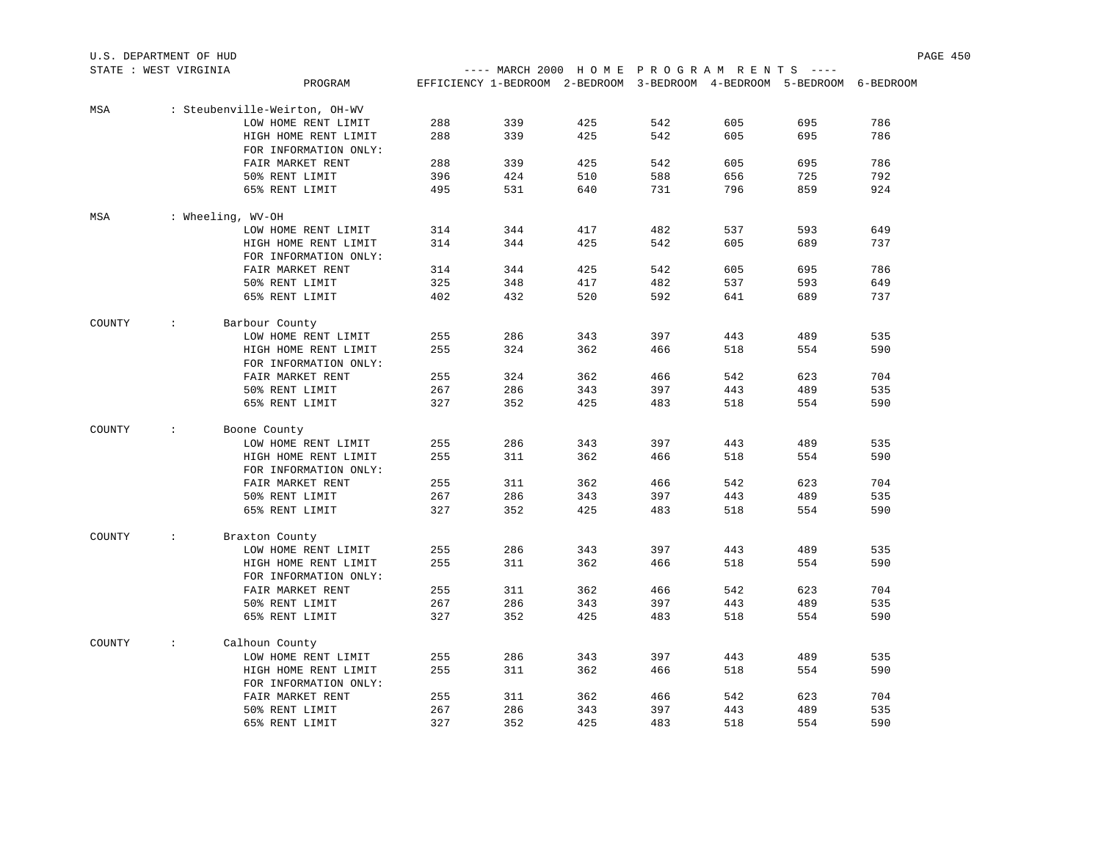| U.S. DEPARTMENT OF HUD | PAGE | 450 |
|------------------------|------|-----|
|                        |      |     |

| MSA    |                      | : Steubenville-Weirton, OH-WV |     |     |     |     |     |     |     |
|--------|----------------------|-------------------------------|-----|-----|-----|-----|-----|-----|-----|
|        |                      | LOW HOME RENT LIMIT           | 288 | 339 | 425 | 542 | 605 | 695 | 786 |
|        |                      | HIGH HOME RENT LIMIT          | 288 | 339 | 425 | 542 | 605 | 695 | 786 |
|        |                      | FOR INFORMATION ONLY:         |     |     |     |     |     |     |     |
|        |                      | FAIR MARKET RENT              | 288 | 339 | 425 | 542 | 605 | 695 | 786 |
|        |                      | 50% RENT LIMIT                | 396 | 424 | 510 | 588 | 656 | 725 | 792 |
|        |                      | 65% RENT LIMIT                | 495 | 531 | 640 | 731 | 796 | 859 | 924 |
|        |                      |                               |     |     |     |     |     |     |     |
| MSA    |                      | : Wheeling, WV-OH             |     |     |     |     |     |     |     |
|        |                      | LOW HOME RENT LIMIT           | 314 | 344 | 417 | 482 | 537 | 593 | 649 |
|        |                      | HIGH HOME RENT LIMIT          | 314 | 344 | 425 | 542 | 605 | 689 | 737 |
|        |                      | FOR INFORMATION ONLY:         |     |     |     |     |     |     |     |
|        |                      | FAIR MARKET RENT              | 314 | 344 | 425 | 542 | 605 | 695 | 786 |
|        |                      | 50% RENT LIMIT                | 325 | 348 | 417 | 482 | 537 | 593 | 649 |
|        |                      | 65% RENT LIMIT                | 402 | 432 | 520 | 592 | 641 | 689 | 737 |
| COUNTY | $\ddot{\phantom{a}}$ | Barbour County                |     |     |     |     |     |     |     |
|        |                      | LOW HOME RENT LIMIT           | 255 | 286 | 343 | 397 | 443 | 489 | 535 |
|        |                      | HIGH HOME RENT LIMIT          | 255 | 324 | 362 | 466 | 518 | 554 | 590 |
|        |                      | FOR INFORMATION ONLY:         |     |     |     |     |     |     |     |
|        |                      | FAIR MARKET RENT              | 255 | 324 | 362 | 466 | 542 | 623 | 704 |
|        |                      | 50% RENT LIMIT                | 267 | 286 | 343 | 397 | 443 | 489 | 535 |
|        |                      | 65% RENT LIMIT                | 327 | 352 | 425 | 483 | 518 | 554 | 590 |
|        |                      |                               |     |     |     |     |     |     |     |
| COUNTY | $\ddot{\phantom{a}}$ | Boone County                  |     |     |     |     |     |     |     |
|        |                      | LOW HOME RENT LIMIT           | 255 | 286 | 343 | 397 | 443 | 489 | 535 |
|        |                      | HIGH HOME RENT LIMIT          | 255 | 311 | 362 | 466 | 518 | 554 | 590 |
|        |                      | FOR INFORMATION ONLY:         |     |     |     |     |     |     |     |
|        |                      | FAIR MARKET RENT              | 255 | 311 | 362 | 466 | 542 | 623 | 704 |
|        |                      | 50% RENT LIMIT                | 267 | 286 | 343 | 397 | 443 | 489 | 535 |
|        |                      | 65% RENT LIMIT                | 327 | 352 | 425 | 483 | 518 | 554 | 590 |
| COUNTY | $\ddot{\phantom{a}}$ | Braxton County                |     |     |     |     |     |     |     |
|        |                      | LOW HOME RENT LIMIT           | 255 | 286 | 343 | 397 | 443 | 489 | 535 |
|        |                      | HIGH HOME RENT LIMIT          | 255 | 311 | 362 | 466 | 518 | 554 | 590 |
|        |                      | FOR INFORMATION ONLY:         |     |     |     |     |     |     |     |
|        |                      | FAIR MARKET RENT              | 255 | 311 | 362 | 466 | 542 | 623 | 704 |
|        |                      | 50% RENT LIMIT                | 267 | 286 | 343 | 397 | 443 | 489 | 535 |
|        |                      | 65% RENT LIMIT                | 327 | 352 | 425 | 483 | 518 | 554 | 590 |
| COUNTY | $\ddot{\phantom{a}}$ | Calhoun County                |     |     |     |     |     |     |     |
|        |                      | LOW HOME RENT LIMIT           | 255 | 286 | 343 | 397 | 443 | 489 | 535 |
|        |                      | HIGH HOME RENT LIMIT          | 255 | 311 | 362 | 466 | 518 | 554 | 590 |
|        |                      | FOR INFORMATION ONLY:         |     |     |     |     |     |     |     |
|        |                      | FAIR MARKET RENT              | 255 | 311 | 362 | 466 | 542 | 623 | 704 |
|        |                      | 50% RENT LIMIT                | 267 | 286 | 343 | 397 | 443 | 489 | 535 |
|        |                      | 65% RENT LIMIT                | 327 | 352 | 425 | 483 | 518 | 554 | 590 |
|        |                      |                               |     |     |     |     |     |     |     |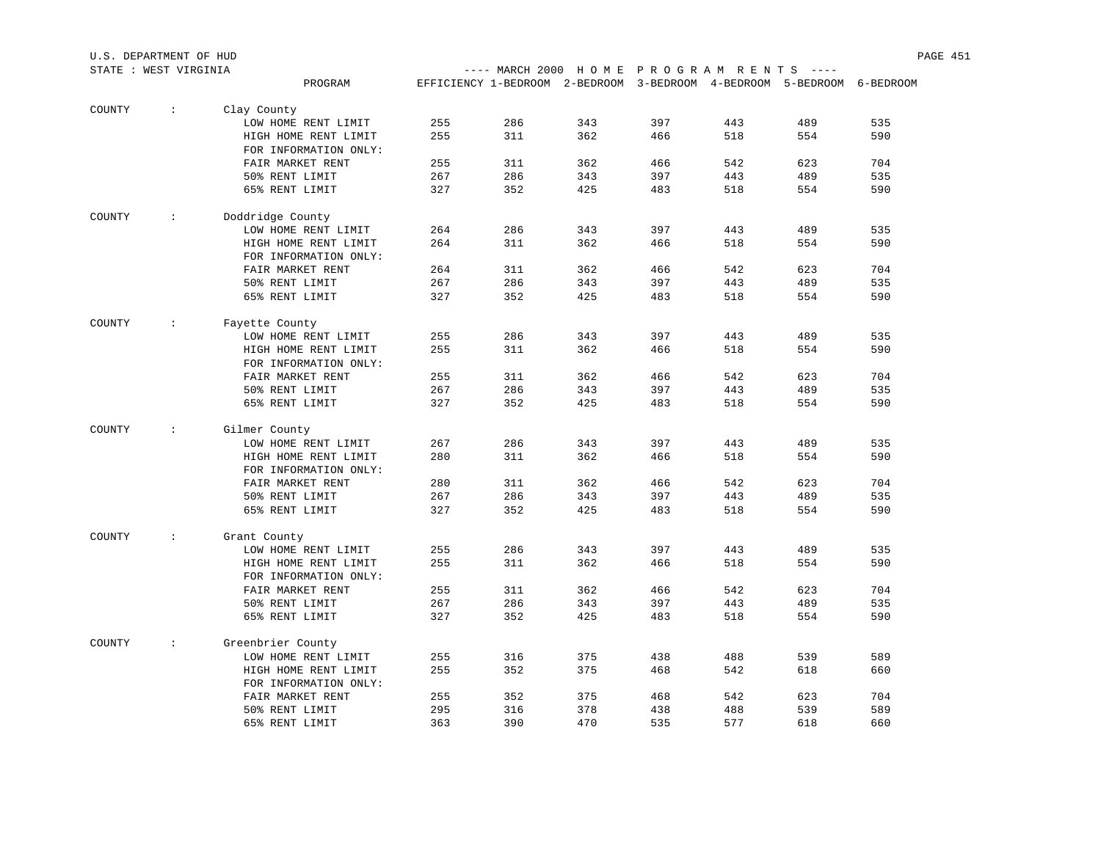| STATE : WEST VIRGINIA |                      |                                               |     |                                                                        |     | ---- MARCH 2000 HOME PROGRAM RENTS ---- |     |     |     |  |
|-----------------------|----------------------|-----------------------------------------------|-----|------------------------------------------------------------------------|-----|-----------------------------------------|-----|-----|-----|--|
|                       |                      | PROGRAM                                       |     | EFFICIENCY 1-BEDROOM 2-BEDROOM 3-BEDROOM 4-BEDROOM 5-BEDROOM 6-BEDROOM |     |                                         |     |     |     |  |
| COUNTY                | $\ddot{\phantom{0}}$ | Clay County                                   |     |                                                                        |     |                                         |     |     |     |  |
|                       |                      | LOW HOME RENT LIMIT                           | 255 | 286                                                                    | 343 | 397                                     | 443 | 489 | 535 |  |
|                       |                      | HIGH HOME RENT LIMIT                          | 255 | 311                                                                    | 362 | 466                                     | 518 | 554 | 590 |  |
|                       |                      | FOR INFORMATION ONLY:                         |     |                                                                        |     |                                         |     |     |     |  |
|                       |                      | FAIR MARKET RENT                              | 255 | 311                                                                    | 362 | 466                                     | 542 | 623 | 704 |  |
|                       |                      | 50% RENT LIMIT                                | 267 | 286                                                                    | 343 | 397                                     | 443 | 489 | 535 |  |
|                       |                      | 65% RENT LIMIT                                | 327 | 352                                                                    | 425 | 483                                     | 518 | 554 | 590 |  |
| COUNTY                | $\mathcal{L}$        | Doddridge County                              |     |                                                                        |     |                                         |     |     |     |  |
|                       |                      | LOW HOME RENT LIMIT                           | 264 | 286                                                                    | 343 | 397                                     | 443 | 489 | 535 |  |
|                       |                      | HIGH HOME RENT LIMIT                          | 264 | 311                                                                    | 362 | 466                                     | 518 | 554 | 590 |  |
|                       |                      | FOR INFORMATION ONLY:                         |     |                                                                        |     |                                         |     |     |     |  |
|                       |                      | FAIR MARKET RENT                              | 264 | 311                                                                    | 362 | 466                                     | 542 | 623 | 704 |  |
|                       |                      | 50% RENT LIMIT                                | 267 | 286                                                                    | 343 | 397                                     | 443 | 489 | 535 |  |
|                       |                      | 65% RENT LIMIT                                | 327 | 352                                                                    | 425 | 483                                     | 518 | 554 | 590 |  |
| COUNTY                | $\mathcal{L}$        | Fayette County                                |     |                                                                        |     |                                         |     |     |     |  |
|                       |                      | LOW HOME RENT LIMIT                           | 255 | 286                                                                    | 343 | 397                                     | 443 | 489 | 535 |  |
|                       |                      | HIGH HOME RENT LIMIT                          | 255 | 311                                                                    | 362 | 466                                     | 518 | 554 | 590 |  |
|                       |                      | FOR INFORMATION ONLY:                         |     |                                                                        |     |                                         |     |     |     |  |
|                       |                      | FAIR MARKET RENT                              | 255 | 311                                                                    | 362 | 466                                     | 542 | 623 | 704 |  |
|                       |                      | 50% RENT LIMIT                                | 267 | 286                                                                    | 343 | 397                                     | 443 | 489 | 535 |  |
|                       |                      | 65% RENT LIMIT                                | 327 | 352                                                                    | 425 | 483                                     | 518 | 554 | 590 |  |
| COUNTY                | $\mathcal{L}$        |                                               |     |                                                                        |     |                                         |     |     |     |  |
|                       |                      | Gilmer County<br>LOW HOME RENT LIMIT          | 267 | 286                                                                    | 343 | 397                                     | 443 | 489 | 535 |  |
|                       |                      | HIGH HOME RENT LIMIT                          | 280 | 311                                                                    | 362 | 466                                     | 518 | 554 | 590 |  |
|                       |                      |                                               |     |                                                                        |     |                                         |     |     |     |  |
|                       |                      | FOR INFORMATION ONLY:<br>FAIR MARKET RENT     | 280 | 311                                                                    | 362 | 466                                     | 542 | 623 | 704 |  |
|                       |                      | 50% RENT LIMIT                                | 267 | 286                                                                    | 343 | 397                                     | 443 | 489 | 535 |  |
|                       |                      |                                               |     |                                                                        |     |                                         |     |     |     |  |
|                       |                      | 65% RENT LIMIT                                | 327 | 352                                                                    | 425 | 483                                     | 518 | 554 | 590 |  |
| COUNTY                | $\sim$               | Grant County                                  |     |                                                                        |     |                                         |     |     |     |  |
|                       |                      | LOW HOME RENT LIMIT                           | 255 | 286                                                                    | 343 | 397                                     | 443 | 489 | 535 |  |
|                       |                      | HIGH HOME RENT LIMIT                          | 255 | 311                                                                    | 362 | 466                                     | 518 | 554 | 590 |  |
|                       |                      | FOR INFORMATION ONLY:                         |     |                                                                        |     |                                         |     |     |     |  |
|                       |                      | FAIR MARKET RENT                              | 255 | 311                                                                    | 362 | 466                                     | 542 | 623 | 704 |  |
|                       |                      | 50% RENT LIMIT                                | 267 | 286                                                                    | 343 | 397                                     | 443 | 489 | 535 |  |
|                       |                      | 65% RENT LIMIT                                | 327 | 352                                                                    | 425 | 483                                     | 518 | 554 | 590 |  |
| COUNTY                | $\mathcal{L}$        | Greenbrier County                             |     |                                                                        |     |                                         |     |     |     |  |
|                       |                      | LOW HOME RENT LIMIT                           | 255 | 316                                                                    | 375 | 438                                     | 488 | 539 | 589 |  |
|                       |                      | HIGH HOME RENT LIMIT<br>FOR INFORMATION ONLY: | 255 | 352                                                                    | 375 | 468                                     | 542 | 618 | 660 |  |
|                       |                      | FAIR MARKET RENT                              | 255 | 352                                                                    | 375 | 468                                     | 542 | 623 | 704 |  |
|                       |                      | 50% RENT LIMIT                                | 295 | 316                                                                    | 378 | 438                                     | 488 | 539 | 589 |  |
|                       |                      | 65% RENT LIMIT                                | 363 | 390                                                                    | 470 | 535                                     | 577 | 618 | 660 |  |
|                       |                      |                                               |     |                                                                        |     |                                         |     |     |     |  |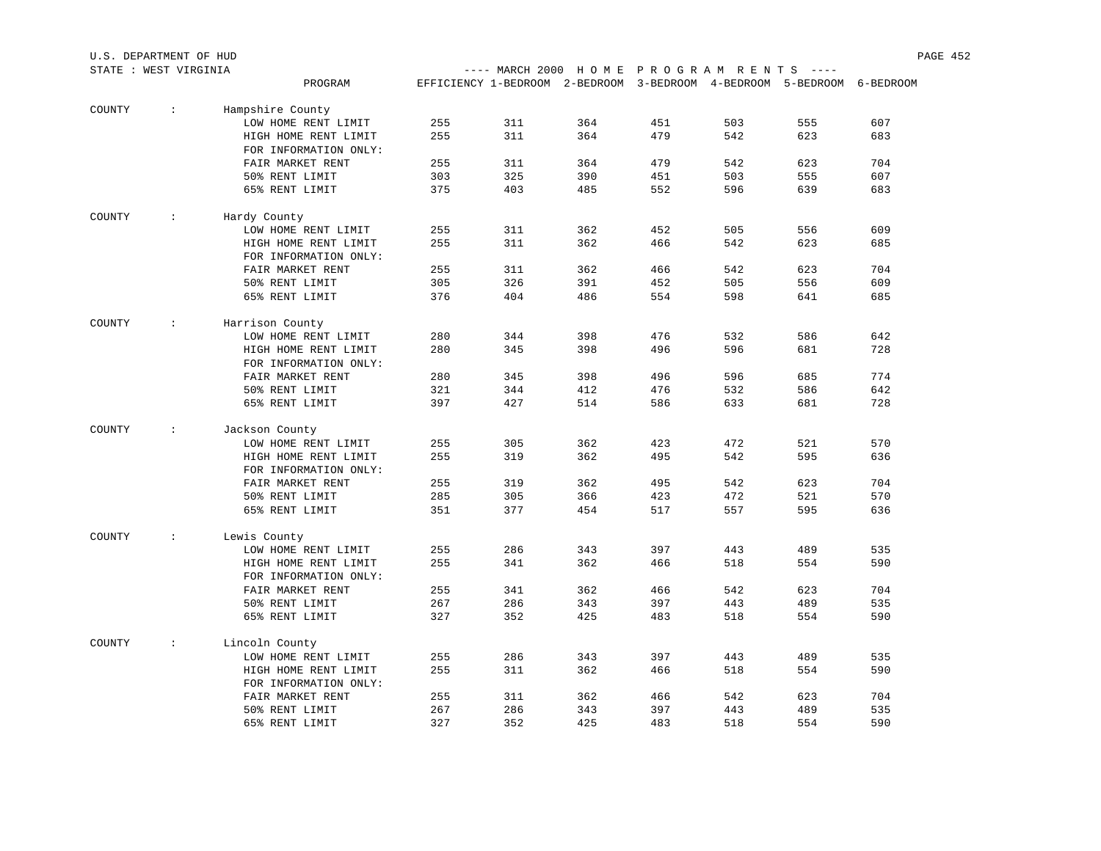| STATE : WEST VIRGINIA |                          |                       |     |                                                                        |     |     | ---- MARCH 2000 HOME PROGRAM RENTS ---- |     |     |  |  |
|-----------------------|--------------------------|-----------------------|-----|------------------------------------------------------------------------|-----|-----|-----------------------------------------|-----|-----|--|--|
|                       |                          | PROGRAM               |     | EFFICIENCY 1-BEDROOM 2-BEDROOM 3-BEDROOM 4-BEDROOM 5-BEDROOM 6-BEDROOM |     |     |                                         |     |     |  |  |
| COUNTY                | $\sim$ $\sim$            | Hampshire County      |     |                                                                        |     |     |                                         |     |     |  |  |
|                       |                          | LOW HOME RENT LIMIT   | 255 | 311                                                                    | 364 | 451 | 503                                     | 555 | 607 |  |  |
|                       |                          | HIGH HOME RENT LIMIT  | 255 | 311                                                                    | 364 | 479 | 542                                     | 623 | 683 |  |  |
|                       |                          | FOR INFORMATION ONLY: |     |                                                                        |     |     |                                         |     |     |  |  |
|                       |                          | FAIR MARKET RENT      | 255 | 311                                                                    | 364 | 479 | 542                                     | 623 | 704 |  |  |
|                       |                          | 50% RENT LIMIT        | 303 | 325                                                                    | 390 | 451 | 503                                     | 555 | 607 |  |  |
|                       |                          | 65% RENT LIMIT        | 375 | 403                                                                    | 485 | 552 | 596                                     | 639 | 683 |  |  |
| COUNTY                | <b>Contract Contract</b> | Hardy County          |     |                                                                        |     |     |                                         |     |     |  |  |
|                       |                          | LOW HOME RENT LIMIT   | 255 | 311                                                                    | 362 | 452 | 505                                     | 556 | 609 |  |  |
|                       |                          | HIGH HOME RENT LIMIT  | 255 | 311                                                                    | 362 | 466 | 542                                     | 623 | 685 |  |  |
|                       |                          | FOR INFORMATION ONLY: |     |                                                                        |     |     |                                         |     |     |  |  |
|                       |                          | FAIR MARKET RENT      | 255 | 311                                                                    | 362 | 466 | 542                                     | 623 | 704 |  |  |
|                       |                          | 50% RENT LIMIT        | 305 | 326                                                                    | 391 | 452 | 505                                     | 556 | 609 |  |  |
|                       |                          | 65% RENT LIMIT        | 376 | 404                                                                    | 486 | 554 | 598                                     | 641 | 685 |  |  |
| COUNTY                | $\sim$ 100 $\sim$        | Harrison County       |     |                                                                        |     |     |                                         |     |     |  |  |
|                       |                          | LOW HOME RENT LIMIT   | 280 | 344                                                                    | 398 | 476 | 532                                     | 586 | 642 |  |  |
|                       |                          | HIGH HOME RENT LIMIT  | 280 | 345                                                                    | 398 | 496 | 596                                     | 681 | 728 |  |  |
|                       |                          | FOR INFORMATION ONLY: |     |                                                                        |     |     |                                         |     |     |  |  |
|                       |                          | FAIR MARKET RENT      | 280 | 345                                                                    | 398 | 496 | 596                                     | 685 | 774 |  |  |
|                       |                          | 50% RENT LIMIT        | 321 | 344                                                                    | 412 | 476 | 532                                     | 586 | 642 |  |  |
|                       |                          | 65% RENT LIMIT        | 397 | 427                                                                    | 514 | 586 | 633                                     | 681 | 728 |  |  |
| COUNTY                | $\sim 100$               | Jackson County        |     |                                                                        |     |     |                                         |     |     |  |  |
|                       |                          | LOW HOME RENT LIMIT   | 255 | 305                                                                    | 362 | 423 | 472                                     | 521 | 570 |  |  |
|                       |                          | HIGH HOME RENT LIMIT  | 255 | 319                                                                    | 362 | 495 | 542                                     | 595 | 636 |  |  |
|                       |                          | FOR INFORMATION ONLY: |     |                                                                        |     |     |                                         |     |     |  |  |
|                       |                          | FAIR MARKET RENT      | 255 | 319                                                                    | 362 | 495 | 542                                     | 623 | 704 |  |  |
|                       |                          | 50% RENT LIMIT        | 285 | 305                                                                    | 366 | 423 | 472                                     | 521 | 570 |  |  |
|                       |                          | 65% RENT LIMIT        | 351 | 377                                                                    | 454 | 517 | 557                                     | 595 | 636 |  |  |
| COUNTY                | $\sim$ 100 $\sim$        | Lewis County          |     |                                                                        |     |     |                                         |     |     |  |  |
|                       |                          | LOW HOME RENT LIMIT   | 255 | 286                                                                    | 343 | 397 | 443                                     | 489 | 535 |  |  |
|                       |                          | HIGH HOME RENT LIMIT  | 255 | 341                                                                    | 362 | 466 | 518                                     | 554 | 590 |  |  |
|                       |                          | FOR INFORMATION ONLY: |     |                                                                        |     |     |                                         |     |     |  |  |
|                       |                          | FAIR MARKET RENT      | 255 | 341                                                                    | 362 | 466 | 542                                     | 623 | 704 |  |  |
|                       |                          | 50% RENT LIMIT        | 267 | 286                                                                    | 343 | 397 | 443                                     | 489 | 535 |  |  |
|                       |                          | 65% RENT LIMIT        | 327 | 352                                                                    | 425 | 483 | 518                                     | 554 | 590 |  |  |
| COUNTY                | $\sim$ 100 $\pm$         | Lincoln County        |     |                                                                        |     |     |                                         |     |     |  |  |
|                       |                          | LOW HOME RENT LIMIT   | 255 | 286                                                                    | 343 | 397 | 443                                     | 489 | 535 |  |  |
|                       |                          | HIGH HOME RENT LIMIT  | 255 | 311                                                                    | 362 | 466 | 518                                     | 554 | 590 |  |  |
|                       |                          | FOR INFORMATION ONLY: |     |                                                                        |     |     |                                         |     |     |  |  |
|                       |                          | FAIR MARKET RENT      | 255 | 311                                                                    | 362 | 466 | 542                                     | 623 | 704 |  |  |
|                       |                          | 50% RENT LIMIT        | 267 | 286                                                                    | 343 | 397 | 443                                     | 489 | 535 |  |  |
|                       |                          | 65% RENT LIMIT        | 327 | 352                                                                    | 425 | 483 | 518                                     | 554 | 590 |  |  |

U.S. DEPARTMENT OF HUD PAGE 452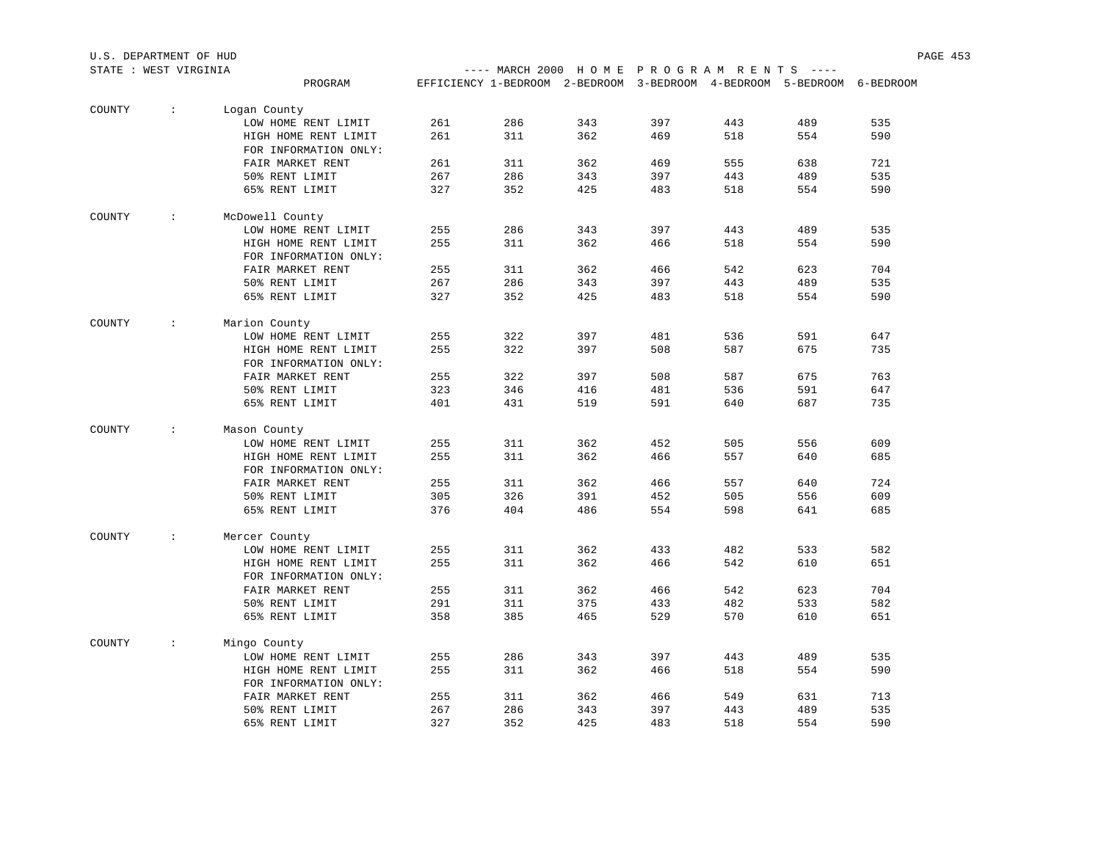| STATE : WEST VIRGINIA |                         |                       |     |     |                                                                        |     | ---- MARCH 2000 HOME PROGRAM RENTS ---- |     |     |  |  |
|-----------------------|-------------------------|-----------------------|-----|-----|------------------------------------------------------------------------|-----|-----------------------------------------|-----|-----|--|--|
|                       |                         | PROGRAM               |     |     | EFFICIENCY 1-BEDROOM 2-BEDROOM 3-BEDROOM 4-BEDROOM 5-BEDROOM 6-BEDROOM |     |                                         |     |     |  |  |
| COUNTY                | $\sim$                  | Logan County          |     |     |                                                                        |     |                                         |     |     |  |  |
|                       |                         | LOW HOME RENT LIMIT   | 261 | 286 | 343                                                                    | 397 | 443                                     | 489 | 535 |  |  |
|                       |                         | HIGH HOME RENT LIMIT  | 261 | 311 | 362                                                                    | 469 | 518                                     | 554 | 590 |  |  |
|                       |                         | FOR INFORMATION ONLY: |     |     |                                                                        |     |                                         |     |     |  |  |
|                       |                         | FAIR MARKET RENT      | 261 | 311 | 362                                                                    | 469 | 555                                     | 638 | 721 |  |  |
|                       |                         | 50% RENT LIMIT        | 267 | 286 | 343                                                                    | 397 | 443                                     | 489 | 535 |  |  |
|                       |                         | 65% RENT LIMIT        | 327 | 352 | 425                                                                    | 483 | 518                                     | 554 | 590 |  |  |
| COUNTY                | $\sim 100$              | McDowell County       |     |     |                                                                        |     |                                         |     |     |  |  |
|                       |                         | LOW HOME RENT LIMIT   | 255 | 286 | 343                                                                    | 397 | 443                                     | 489 | 535 |  |  |
|                       |                         | HIGH HOME RENT LIMIT  | 255 | 311 | 362                                                                    | 466 | 518                                     | 554 | 590 |  |  |
|                       |                         | FOR INFORMATION ONLY: |     |     |                                                                        |     |                                         |     |     |  |  |
|                       |                         | FAIR MARKET RENT      | 255 | 311 | 362                                                                    | 466 | 542                                     | 623 | 704 |  |  |
|                       |                         | 50% RENT LIMIT        | 267 | 286 | 343                                                                    | 397 | 443                                     | 489 | 535 |  |  |
|                       |                         | 65% RENT LIMIT        | 327 | 352 | 425                                                                    | 483 | 518                                     | 554 | 590 |  |  |
| COUNTY                | $\sim 100$              | Marion County         |     |     |                                                                        |     |                                         |     |     |  |  |
|                       |                         | LOW HOME RENT LIMIT   | 255 | 322 | 397                                                                    | 481 | 536                                     | 591 | 647 |  |  |
|                       |                         | HIGH HOME RENT LIMIT  | 255 | 322 | 397                                                                    | 508 | 587                                     | 675 | 735 |  |  |
|                       |                         | FOR INFORMATION ONLY: |     |     |                                                                        |     |                                         |     |     |  |  |
|                       |                         | FAIR MARKET RENT      | 255 | 322 | 397                                                                    | 508 | 587                                     | 675 | 763 |  |  |
|                       |                         | 50% RENT LIMIT        | 323 | 346 | 416                                                                    | 481 | 536                                     | 591 | 647 |  |  |
|                       |                         | 65% RENT LIMIT        | 401 | 431 | 519                                                                    | 591 | 640                                     | 687 | 735 |  |  |
| COUNTY                | $\sim 100$ km s $^{-1}$ | Mason County          |     |     |                                                                        |     |                                         |     |     |  |  |
|                       |                         | LOW HOME RENT LIMIT   | 255 | 311 | 362                                                                    | 452 | 505                                     | 556 | 609 |  |  |
|                       |                         | HIGH HOME RENT LIMIT  | 255 | 311 | 362                                                                    | 466 | 557                                     | 640 | 685 |  |  |
|                       |                         | FOR INFORMATION ONLY: |     |     |                                                                        |     |                                         |     |     |  |  |
|                       |                         | FAIR MARKET RENT      | 255 | 311 | 362                                                                    | 466 | 557                                     | 640 | 724 |  |  |
|                       |                         | 50% RENT LIMIT        | 305 | 326 | 391                                                                    | 452 | 505                                     | 556 | 609 |  |  |
|                       |                         | 65% RENT LIMIT        | 376 | 404 | 486                                                                    | 554 | 598                                     | 641 | 685 |  |  |
| COUNTY                | $\sim 100$              | Mercer County         |     |     |                                                                        |     |                                         |     |     |  |  |
|                       |                         | LOW HOME RENT LIMIT   | 255 | 311 | 362                                                                    | 433 | 482                                     | 533 | 582 |  |  |
|                       |                         | HIGH HOME RENT LIMIT  | 255 | 311 | 362                                                                    | 466 | 542                                     | 610 | 651 |  |  |
|                       |                         | FOR INFORMATION ONLY: |     |     |                                                                        |     |                                         |     |     |  |  |
|                       |                         | FAIR MARKET RENT      | 255 | 311 | 362                                                                    | 466 | 542                                     | 623 | 704 |  |  |
|                       |                         | 50% RENT LIMIT        | 291 | 311 | 375                                                                    | 433 | 482                                     | 533 | 582 |  |  |
|                       |                         | 65% RENT LIMIT        | 358 | 385 | 465                                                                    | 529 | 570                                     | 610 | 651 |  |  |
| COUNTY                | $\sim 100$ km s $^{-1}$ | Mingo County          |     |     |                                                                        |     |                                         |     |     |  |  |
|                       |                         | LOW HOME RENT LIMIT   | 255 | 286 | 343                                                                    | 397 | 443                                     | 489 | 535 |  |  |
|                       |                         | HIGH HOME RENT LIMIT  | 255 | 311 | 362                                                                    | 466 | 518                                     | 554 | 590 |  |  |
|                       |                         | FOR INFORMATION ONLY: |     |     |                                                                        |     |                                         |     |     |  |  |
|                       |                         | FAIR MARKET RENT      | 255 | 311 | 362                                                                    | 466 | 549                                     | 631 | 713 |  |  |
|                       |                         | 50% RENT LIMIT        | 267 | 286 | 343                                                                    | 397 | 443                                     | 489 | 535 |  |  |
|                       |                         | 65% RENT LIMIT        | 327 | 352 | 425                                                                    | 483 | 518                                     | 554 | 590 |  |  |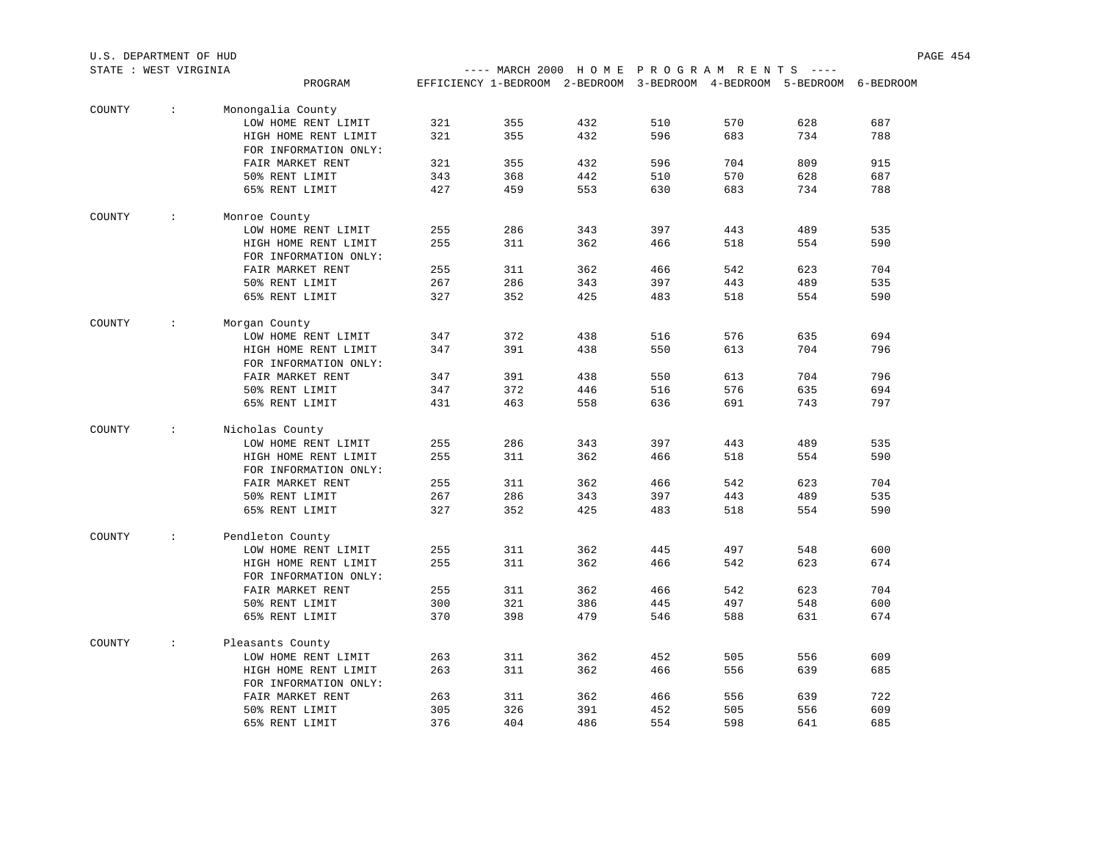| STATE : WEST VIRGINIA |               |                       |     |                                                                        |     |     | ---- MARCH 2000 HOME PROGRAM RENTS ---- |     |     |  |  |
|-----------------------|---------------|-----------------------|-----|------------------------------------------------------------------------|-----|-----|-----------------------------------------|-----|-----|--|--|
|                       |               | PROGRAM               |     | EFFICIENCY 1-BEDROOM 2-BEDROOM 3-BEDROOM 4-BEDROOM 5-BEDROOM 6-BEDROOM |     |     |                                         |     |     |  |  |
| COUNTY                | $\sim$        | Monongalia County     |     |                                                                        |     |     |                                         |     |     |  |  |
|                       |               | LOW HOME RENT LIMIT   | 321 | 355                                                                    | 432 | 510 | 570                                     | 628 | 687 |  |  |
|                       |               | HIGH HOME RENT LIMIT  | 321 | 355                                                                    | 432 | 596 | 683                                     | 734 | 788 |  |  |
|                       |               | FOR INFORMATION ONLY: |     |                                                                        |     |     |                                         |     |     |  |  |
|                       |               | FAIR MARKET RENT      | 321 | 355                                                                    | 432 | 596 | 704                                     | 809 | 915 |  |  |
|                       |               | 50% RENT LIMIT        | 343 | 368                                                                    | 442 | 510 | 570                                     | 628 | 687 |  |  |
|                       |               | 65% RENT LIMIT        | 427 | 459                                                                    | 553 | 630 | 683                                     | 734 | 788 |  |  |
| COUNTY                | $\mathcal{L}$ | Monroe County         |     |                                                                        |     |     |                                         |     |     |  |  |
|                       |               | LOW HOME RENT LIMIT   | 255 | 286                                                                    | 343 | 397 | 443                                     | 489 | 535 |  |  |
|                       |               | HIGH HOME RENT LIMIT  | 255 | 311                                                                    | 362 | 466 | 518                                     | 554 | 590 |  |  |
|                       |               | FOR INFORMATION ONLY: |     |                                                                        |     |     |                                         |     |     |  |  |
|                       |               | FAIR MARKET RENT      | 255 | 311                                                                    | 362 | 466 | 542                                     | 623 | 704 |  |  |
|                       |               | 50% RENT LIMIT        | 267 | 286                                                                    | 343 | 397 | 443                                     | 489 | 535 |  |  |
|                       |               | 65% RENT LIMIT        | 327 | 352                                                                    | 425 | 483 | 518                                     | 554 | 590 |  |  |
| COUNTY                | $\mathcal{L}$ | Morgan County         |     |                                                                        |     |     |                                         |     |     |  |  |
|                       |               | LOW HOME RENT LIMIT   | 347 | 372                                                                    | 438 | 516 | 576                                     | 635 | 694 |  |  |
|                       |               | HIGH HOME RENT LIMIT  | 347 | 391                                                                    | 438 | 550 | 613                                     | 704 | 796 |  |  |
|                       |               | FOR INFORMATION ONLY: |     |                                                                        |     |     |                                         |     |     |  |  |
|                       |               | FAIR MARKET RENT      | 347 | 391                                                                    | 438 | 550 | 613                                     | 704 | 796 |  |  |
|                       |               | 50% RENT LIMIT        | 347 | 372                                                                    | 446 | 516 | 576                                     | 635 | 694 |  |  |
|                       |               | 65% RENT LIMIT        | 431 | 463                                                                    | 558 | 636 | 691                                     | 743 | 797 |  |  |
| COUNTY                | $\sim$        | Nicholas County       |     |                                                                        |     |     |                                         |     |     |  |  |
|                       |               | LOW HOME RENT LIMIT   | 255 | 286                                                                    | 343 | 397 | 443                                     | 489 | 535 |  |  |
|                       |               | HIGH HOME RENT LIMIT  | 255 | 311                                                                    | 362 | 466 | 518                                     | 554 | 590 |  |  |
|                       |               | FOR INFORMATION ONLY: |     |                                                                        |     |     |                                         |     |     |  |  |
|                       |               | FAIR MARKET RENT      | 255 | 311                                                                    | 362 | 466 | 542                                     | 623 | 704 |  |  |
|                       |               | 50% RENT LIMIT        | 267 | 286                                                                    | 343 | 397 | 443                                     | 489 | 535 |  |  |
|                       |               | 65% RENT LIMIT        | 327 | 352                                                                    | 425 | 483 | 518                                     | 554 | 590 |  |  |
| COUNTY                | $\mathcal{L}$ | Pendleton County      |     |                                                                        |     |     |                                         |     |     |  |  |
|                       |               | LOW HOME RENT LIMIT   | 255 | 311                                                                    | 362 | 445 | 497                                     | 548 | 600 |  |  |
|                       |               | HIGH HOME RENT LIMIT  | 255 | 311                                                                    | 362 | 466 | 542                                     | 623 | 674 |  |  |
|                       |               | FOR INFORMATION ONLY: |     |                                                                        |     |     |                                         |     |     |  |  |
|                       |               | FAIR MARKET RENT      | 255 | 311                                                                    | 362 | 466 | 542                                     | 623 | 704 |  |  |
|                       |               | 50% RENT LIMIT        | 300 | 321                                                                    | 386 | 445 | 497                                     | 548 | 600 |  |  |
|                       |               | 65% RENT LIMIT        | 370 | 398                                                                    | 479 | 546 | 588                                     | 631 | 674 |  |  |
| COUNTY                | $\sim$        | Pleasants County      |     |                                                                        |     |     |                                         |     |     |  |  |
|                       |               | LOW HOME RENT LIMIT   | 263 | 311                                                                    | 362 | 452 | 505                                     | 556 | 609 |  |  |
|                       |               | HIGH HOME RENT LIMIT  | 263 | 311                                                                    | 362 | 466 | 556                                     | 639 | 685 |  |  |
|                       |               | FOR INFORMATION ONLY: |     |                                                                        |     |     |                                         |     |     |  |  |
|                       |               | FAIR MARKET RENT      | 263 | 311                                                                    | 362 | 466 | 556                                     | 639 | 722 |  |  |
|                       |               | 50% RENT LIMIT        | 305 | 326                                                                    | 391 | 452 | 505                                     | 556 | 609 |  |  |
|                       |               | 65% RENT LIMIT        | 376 | 404                                                                    | 486 | 554 | 598                                     | 641 | 685 |  |  |

U.S. DEPARTMENT OF HUD PAGE 454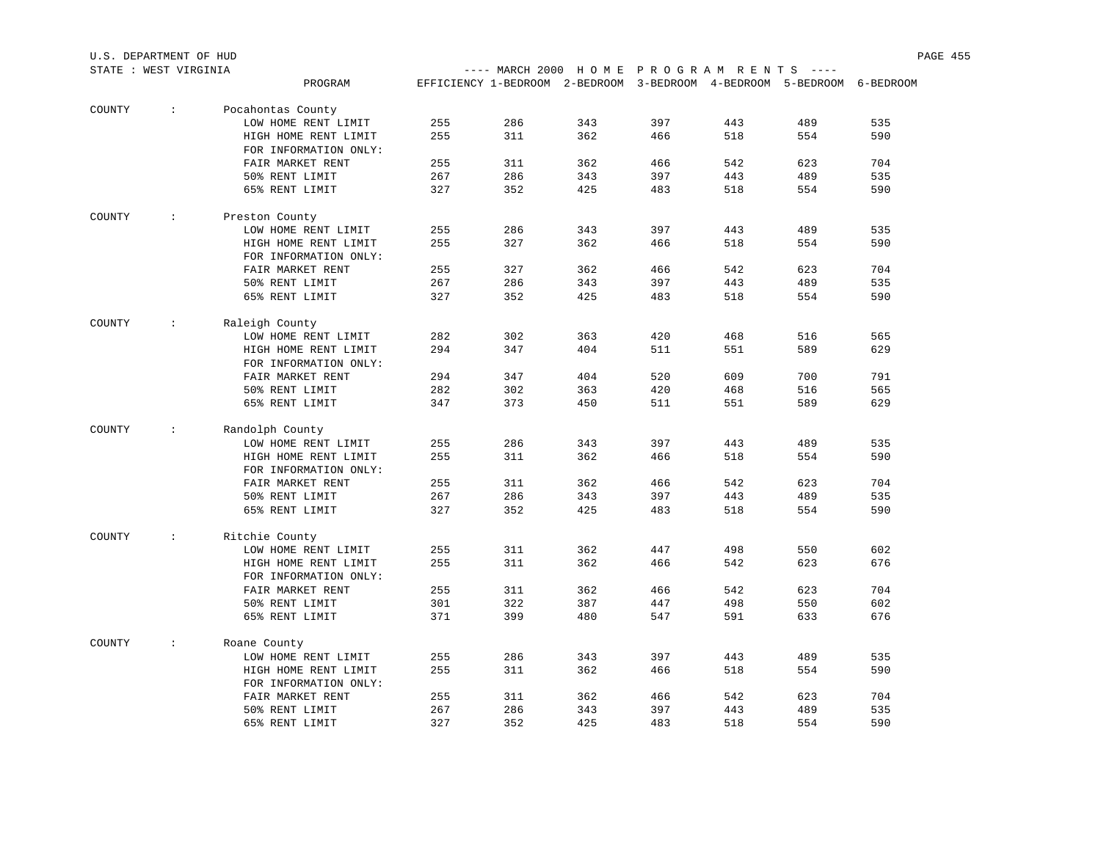| STATE : WEST VIRGINIA |                  |                       |     |                                                                        |     |     | ---- MARCH 2000 HOME PROGRAM RENTS ---- |     |     |  |  |
|-----------------------|------------------|-----------------------|-----|------------------------------------------------------------------------|-----|-----|-----------------------------------------|-----|-----|--|--|
|                       |                  | PROGRAM               |     | EFFICIENCY 1-BEDROOM 2-BEDROOM 3-BEDROOM 4-BEDROOM 5-BEDROOM 6-BEDROOM |     |     |                                         |     |     |  |  |
| COUNTY                | $\sim$           | Pocahontas County     |     |                                                                        |     |     |                                         |     |     |  |  |
|                       |                  | LOW HOME RENT LIMIT   | 255 | 286                                                                    | 343 | 397 | 443                                     | 489 | 535 |  |  |
|                       |                  | HIGH HOME RENT LIMIT  | 255 | 311                                                                    | 362 | 466 | 518                                     | 554 | 590 |  |  |
|                       |                  | FOR INFORMATION ONLY: |     |                                                                        |     |     |                                         |     |     |  |  |
|                       |                  | FAIR MARKET RENT      | 255 | 311                                                                    | 362 | 466 | 542                                     | 623 | 704 |  |  |
|                       |                  | 50% RENT LIMIT        | 267 | 286                                                                    | 343 | 397 | 443                                     | 489 | 535 |  |  |
|                       |                  | 65% RENT LIMIT        | 327 | 352                                                                    | 425 | 483 | 518                                     | 554 | 590 |  |  |
| COUNTY                | <b>Contract</b>  | Preston County        |     |                                                                        |     |     |                                         |     |     |  |  |
|                       |                  | LOW HOME RENT LIMIT   | 255 | 286                                                                    | 343 | 397 | 443                                     | 489 | 535 |  |  |
|                       |                  | HIGH HOME RENT LIMIT  | 255 | 327                                                                    | 362 | 466 | 518                                     | 554 | 590 |  |  |
|                       |                  | FOR INFORMATION ONLY: |     |                                                                        |     |     |                                         |     |     |  |  |
|                       |                  | FAIR MARKET RENT      | 255 | 327                                                                    | 362 | 466 | 542                                     | 623 | 704 |  |  |
|                       |                  | 50% RENT LIMIT        | 267 | 286                                                                    | 343 | 397 | 443                                     | 489 | 535 |  |  |
|                       |                  | 65% RENT LIMIT        | 327 | 352                                                                    | 425 | 483 | 518                                     | 554 | 590 |  |  |
| COUNTY                | $\sim$ 100 $\pm$ | Raleigh County        |     |                                                                        |     |     |                                         |     |     |  |  |
|                       |                  | LOW HOME RENT LIMIT   | 282 | 302                                                                    | 363 | 420 | 468                                     | 516 | 565 |  |  |
|                       |                  | HIGH HOME RENT LIMIT  | 294 | 347                                                                    | 404 | 511 | 551                                     | 589 | 629 |  |  |
|                       |                  | FOR INFORMATION ONLY: |     |                                                                        |     |     |                                         |     |     |  |  |
|                       |                  | FAIR MARKET RENT      | 294 | 347                                                                    | 404 | 520 | 609                                     | 700 | 791 |  |  |
|                       |                  | 50% RENT LIMIT        | 282 | 302                                                                    | 363 | 420 | 468                                     | 516 | 565 |  |  |
|                       |                  | 65% RENT LIMIT        | 347 | 373                                                                    | 450 | 511 | 551                                     | 589 | 629 |  |  |
| COUNTY                | $\sim$           | Randolph County       |     |                                                                        |     |     |                                         |     |     |  |  |
|                       |                  | LOW HOME RENT LIMIT   | 255 | 286                                                                    | 343 | 397 | 443                                     | 489 | 535 |  |  |
|                       |                  | HIGH HOME RENT LIMIT  | 255 | 311                                                                    | 362 | 466 | 518                                     | 554 | 590 |  |  |
|                       |                  | FOR INFORMATION ONLY: |     |                                                                        |     |     |                                         |     |     |  |  |
|                       |                  | FAIR MARKET RENT      | 255 | 311                                                                    | 362 | 466 | 542                                     | 623 | 704 |  |  |
|                       |                  | 50% RENT LIMIT        | 267 | 286                                                                    | 343 | 397 | 443                                     | 489 | 535 |  |  |
|                       |                  | 65% RENT LIMIT        | 327 | 352                                                                    | 425 | 483 | 518                                     | 554 | 590 |  |  |
| COUNTY                | $\sim$           | Ritchie County        |     |                                                                        |     |     |                                         |     |     |  |  |
|                       |                  | LOW HOME RENT LIMIT   | 255 | 311                                                                    | 362 | 447 | 498                                     | 550 | 602 |  |  |
|                       |                  | HIGH HOME RENT LIMIT  | 255 | 311                                                                    | 362 | 466 | 542                                     | 623 | 676 |  |  |
|                       |                  | FOR INFORMATION ONLY: |     |                                                                        |     |     |                                         |     |     |  |  |
|                       |                  | FAIR MARKET RENT      | 255 | 311                                                                    | 362 | 466 | 542                                     | 623 | 704 |  |  |
|                       |                  | 50% RENT LIMIT        | 301 | 322                                                                    | 387 | 447 | 498                                     | 550 | 602 |  |  |
|                       |                  | 65% RENT LIMIT        | 371 | 399                                                                    | 480 | 547 | 591                                     | 633 | 676 |  |  |
| COUNTY                | $\mathcal{L}$    | Roane County          |     |                                                                        |     |     |                                         |     |     |  |  |
|                       |                  | LOW HOME RENT LIMIT   | 255 | 286                                                                    | 343 | 397 | 443                                     | 489 | 535 |  |  |
|                       |                  | HIGH HOME RENT LIMIT  | 255 | 311                                                                    | 362 | 466 | 518                                     | 554 | 590 |  |  |
|                       |                  | FOR INFORMATION ONLY: |     |                                                                        |     |     |                                         |     |     |  |  |
|                       |                  | FAIR MARKET RENT      | 255 | 311                                                                    | 362 | 466 | 542                                     | 623 | 704 |  |  |
|                       |                  | 50% RENT LIMIT        | 267 | 286                                                                    | 343 | 397 | 443                                     | 489 | 535 |  |  |
|                       |                  | 65% RENT LIMIT        | 327 | 352                                                                    | 425 | 483 | 518                                     | 554 | 590 |  |  |

U.S. DEPARTMENT OF HUD PAGE 455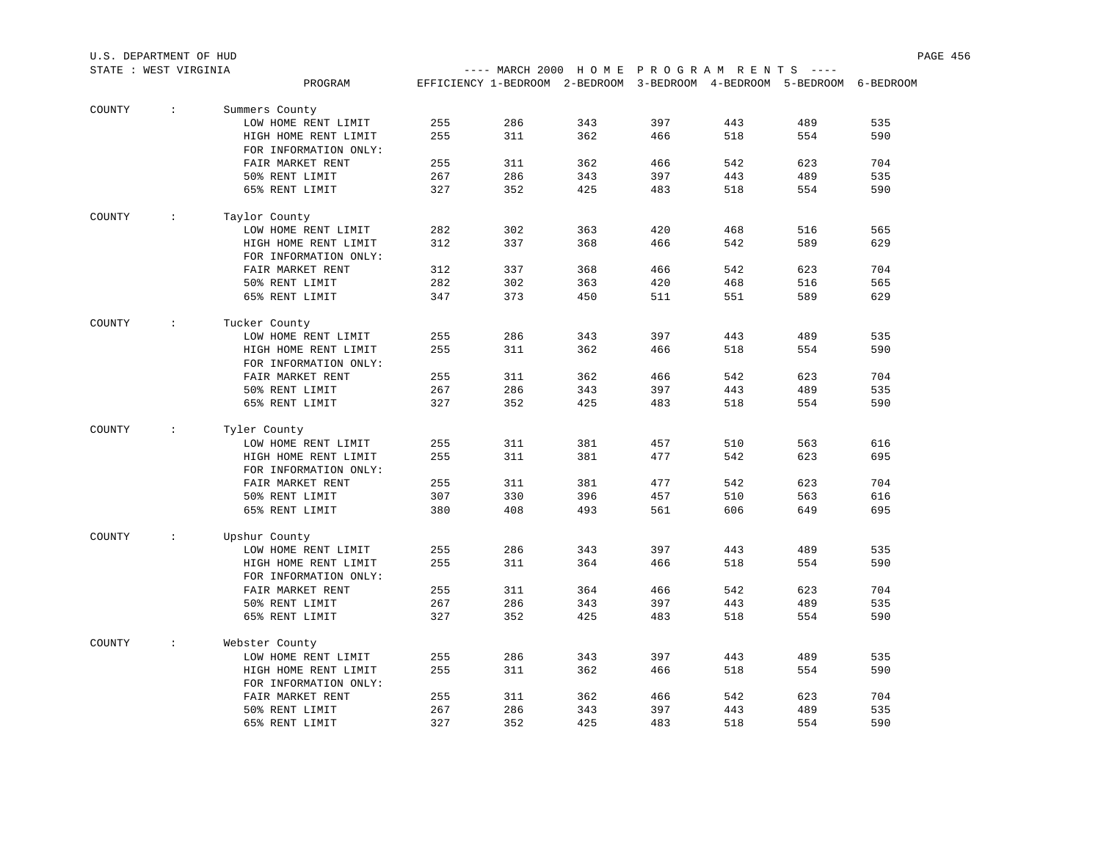| U.S. DEPARTMENT OF HUD |                               |                                               |     |                                                                        |     |     |     |     |     | PAGE 456 |
|------------------------|-------------------------------|-----------------------------------------------|-----|------------------------------------------------------------------------|-----|-----|-----|-----|-----|----------|
| STATE : WEST VIRGINIA  |                               |                                               |     | ---- MARCH 2000 HOME PROGRAM RENTS ----                                |     |     |     |     |     |          |
|                        |                               | PROGRAM                                       |     | EFFICIENCY 1-BEDROOM 2-BEDROOM 3-BEDROOM 4-BEDROOM 5-BEDROOM 6-BEDROOM |     |     |     |     |     |          |
| COUNTY                 | $\sim$                        | Summers County                                |     |                                                                        |     |     |     |     |     |          |
|                        |                               | LOW HOME RENT LIMIT                           | 255 | 286                                                                    | 343 | 397 | 443 | 489 | 535 |          |
|                        |                               | HIGH HOME RENT LIMIT                          | 255 | 311                                                                    | 362 | 466 | 518 | 554 | 590 |          |
|                        |                               | FOR INFORMATION ONLY:                         |     |                                                                        |     |     |     |     |     |          |
|                        |                               | FAIR MARKET RENT                              | 255 | 311                                                                    | 362 | 466 | 542 | 623 | 704 |          |
|                        |                               | 50% RENT LIMIT                                | 267 | 286                                                                    | 343 | 397 | 443 | 489 | 535 |          |
|                        |                               | 65% RENT LIMIT                                | 327 | 352                                                                    | 425 | 483 | 518 | 554 | 590 |          |
|                        |                               |                                               |     |                                                                        |     |     |     |     |     |          |
| COUNTY                 | $\sim$                        | Taylor County                                 |     |                                                                        |     |     |     |     |     |          |
|                        |                               | LOW HOME RENT LIMIT                           | 282 | 302                                                                    | 363 | 420 | 468 | 516 | 565 |          |
|                        |                               | HIGH HOME RENT LIMIT<br>FOR INFORMATION ONLY: | 312 | 337                                                                    | 368 | 466 | 542 | 589 | 629 |          |
|                        |                               | FAIR MARKET RENT                              | 312 | 337                                                                    | 368 | 466 | 542 | 623 | 704 |          |
|                        |                               | 50% RENT LIMIT                                | 282 | 302                                                                    | 363 | 420 | 468 | 516 | 565 |          |
|                        |                               | 65% RENT LIMIT                                | 347 | 373                                                                    | 450 | 511 | 551 | 589 | 629 |          |
|                        |                               |                                               |     |                                                                        |     |     |     |     |     |          |
| COUNTY                 | $\ddot{\phantom{a}}$          | Tucker County                                 |     |                                                                        |     |     |     |     |     |          |
|                        |                               | LOW HOME RENT LIMIT                           | 255 | 286                                                                    | 343 | 397 | 443 | 489 | 535 |          |
|                        |                               | HIGH HOME RENT LIMIT                          | 255 | 311                                                                    | 362 | 466 | 518 | 554 | 590 |          |
|                        |                               | FOR INFORMATION ONLY:                         |     |                                                                        |     |     |     |     |     |          |
|                        |                               | FAIR MARKET RENT                              | 255 | 311                                                                    | 362 | 466 | 542 | 623 | 704 |          |
|                        |                               | 50% RENT LIMIT                                | 267 | 286                                                                    | 343 | 397 | 443 | 489 | 535 |          |
|                        |                               | 65% RENT LIMIT                                | 327 | 352                                                                    | 425 | 483 | 518 | 554 | 590 |          |
| COUNTY                 | $\mathcal{I}^{\mathcal{I}}$ . | Tyler County                                  |     |                                                                        |     |     |     |     |     |          |
|                        |                               | LOW HOME RENT LIMIT                           | 255 | 311                                                                    | 381 | 457 | 510 | 563 | 616 |          |
|                        |                               | HIGH HOME RENT LIMIT                          | 255 | 311                                                                    | 381 | 477 | 542 | 623 | 695 |          |
|                        |                               | FOR INFORMATION ONLY:                         |     |                                                                        |     |     |     |     |     |          |
|                        |                               | FAIR MARKET RENT                              | 255 | 311                                                                    | 381 | 477 | 542 | 623 | 704 |          |
|                        |                               | 50% RENT LIMIT                                | 307 | 330                                                                    | 396 | 457 | 510 | 563 | 616 |          |
|                        |                               | 65% RENT LIMIT                                | 380 | 408                                                                    | 493 | 561 | 606 | 649 | 695 |          |
|                        |                               |                                               |     |                                                                        |     |     |     |     |     |          |
| COUNTY                 | $\sim$                        | Upshur County                                 |     |                                                                        |     |     |     |     |     |          |
|                        |                               | LOW HOME RENT LIMIT                           | 255 | 286                                                                    | 343 | 397 | 443 | 489 | 535 |          |
|                        |                               | HIGH HOME RENT LIMIT                          | 255 | 311                                                                    | 364 | 466 | 518 | 554 | 590 |          |
|                        |                               | FOR INFORMATION ONLY:                         |     |                                                                        |     |     |     |     |     |          |
|                        |                               | FAIR MARKET RENT                              | 255 | 311                                                                    | 364 | 466 | 542 | 623 | 704 |          |
|                        |                               | 50% RENT LIMIT                                | 267 | 286                                                                    | 343 | 397 | 443 | 489 | 535 |          |
|                        |                               | 65% RENT LIMIT                                | 327 | 352                                                                    | 425 | 483 | 518 | 554 | 590 |          |
| COUNTY                 | $\mathcal{L}$                 | Webster County                                |     |                                                                        |     |     |     |     |     |          |
|                        |                               | LOW HOME RENT LIMIT                           | 255 | 286                                                                    | 343 | 397 | 443 | 489 | 535 |          |
|                        |                               | HIGH HOME RENT LIMIT                          | 255 | 311                                                                    | 362 | 466 | 518 | 554 | 590 |          |
|                        |                               | FOR INFORMATION ONLY:                         |     |                                                                        |     |     |     |     |     |          |
|                        |                               | FAIR MARKET RENT                              | 255 | 311                                                                    | 362 | 466 | 542 | 623 | 704 |          |
|                        |                               | 50% RENT LIMIT                                | 267 | 286                                                                    | 343 | 397 | 443 | 489 | 535 |          |
|                        |                               | 65% RENT LIMIT                                | 327 | 352                                                                    | 425 | 483 | 518 | 554 | 590 |          |
|                        |                               |                                               |     |                                                                        |     |     |     |     |     |          |